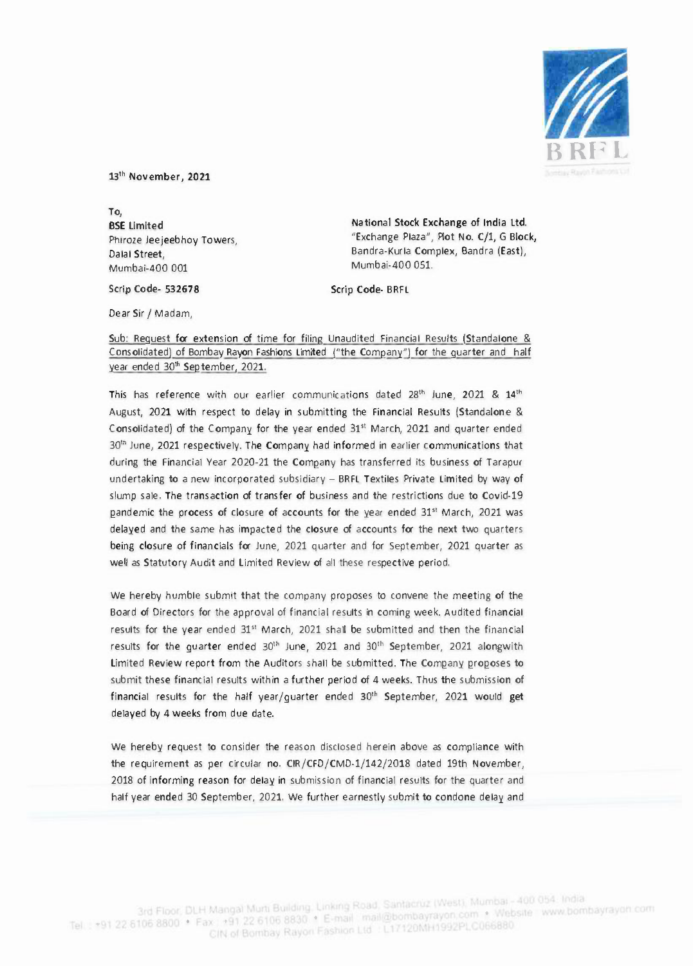

13th November, 2021

To, BSE Limited Phiroze Jeejeebhoy Towers, Dalal Street, Mumbai-400 001

National Stock Exchange of India ltd. "Exchange Plaza", Plot No. C/1, G Block, Bandra-Kurla Complex, Sandra (East), Mumbai-400 051.

Scrip Code- BRFL

Dear Sir *I* Madam,

Scrip Code- 532678

## Sub: Request for extension of time for filing Unaudited Financial Results (Standalone & Consolidated) of Bombay Rayon Fashions Limited ("the Company") for the quarter and half year ended 30<sup>th</sup> September, 2021.

This has reference with our earlier communications dated 28<sup>th</sup> June, 2021 & 14<sup>th</sup> August, 2021 with respect to delay in submitting the Financial Results (Standalone & Consolidated) of the Company for the year ended 31" March, 2021 and quarter ended  $30<sup>th</sup>$  June, 2021 respectively. The Company had informed in earlier communications that during the Financial Year 2020-21 the Company has transferred its business of Tarapur undertaking to a new incorporated subsidiary - BRFL Textiles Private Limited by way of slump sale. The transaction of transfer of business and the restrictions due to Covid-19 pandemic the process of closure of accounts for the year ended 31" March, 2021 was delayed and the same has impacted the closure of accounts for the next two quarters being closure of financials for June, 2021 quarter and for September, 2021 quarter as well as Statutory Audit and Limited Review of all these respective period.

We hereby humble submit that the company proposes to convene the meeting of the Board of Directors for the approval of financial results in coming week. Audited financial results for the year ended 31" March, 2021 shall be submitted and then the financial results for the guarter ended 30<sup>th</sup> June, 2021 and 30<sup>th</sup> September, 2021 alongwith Limited Review report from the Auditors shall be submitted. The Company proposes to submit these financial results within a further period of 4 weeks. Thus the submission of financial results for the half year/guarter ended 30<sup>th</sup> September, 2021 would get delayed by 4 weeks from due date.

We hereby request to consider the reason disclosed herein above as compliance with the requirement as per circular no. CIR/CFD/CMD-1/142/2018 dated 19th November, 2018 of informing reason for delay in submission of financial results for the quarter and half year ended 30 September, 2021. We further earnestly submit to condone delay and